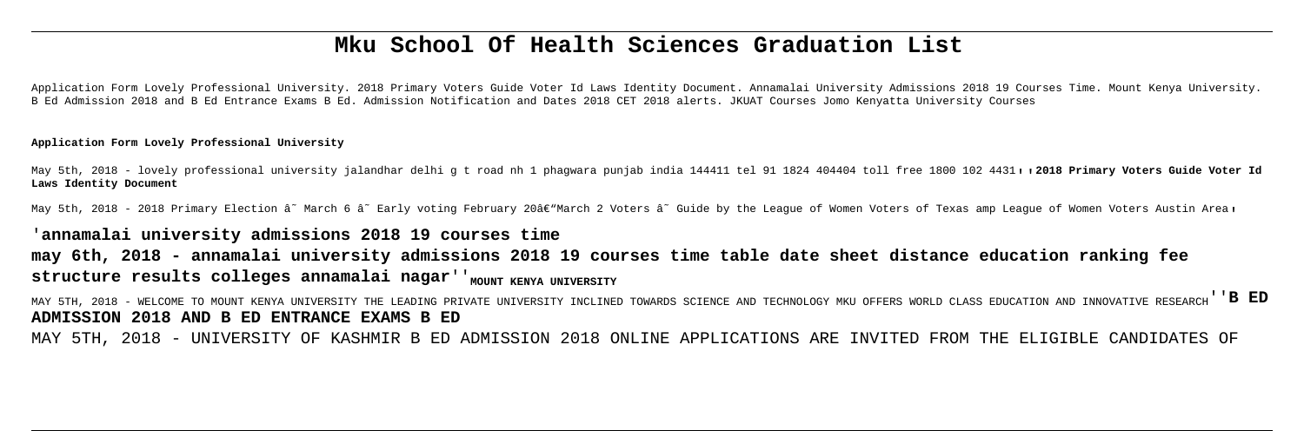# **Mku School Of Health Sciences Graduation List**

Application Form Lovely Professional University. 2018 Primary Voters Guide Voter Id Laws Identity Document. Annamalai University Admissions 2018 19 Courses Time. Mount Kenya University. B Ed Admission 2018 and B Ed Entrance Exams B Ed. Admission Notification and Dates 2018 CET 2018 alerts. JKUAT Courses Jomo Kenyatta University Courses

May 5th, 2018 - lovely professional university jalandhar delhi q t road nh 1 phagwara punjab india 144411 tel 91 1824 404404 toll free 1800 102 4431,, 2018 Primary Voters Guide Voter Id **Laws Identity Document**

May 5th, 2018 - 2018 Primary Election â<sup>~</sup> March 6 â~ Early voting February 20†March 2 Voters â~ Guide by the League of Women Voters of Texas amp League of Women Voters Austin Area,

### **Application Form Lovely Professional University**

**may 6th, 2018 - annamalai university admissions 2018 19 courses time table date sheet distance education ranking fee** structure results colleges annamalai nagar''<sub>MOUNT KENYA UNIVERSITY</sub>

## '**annamalai university admissions 2018 19 courses time**

MAY 5TH, 2018 - WELCOME TO MOUNT KENYA UNIVERSITY THE LEADING PRIVATE UNIVERSITY INCLINED TOWARDS SCIENCE AND TECHNOLOGY MKU OFFERS WORLD CLASS EDUCATION AND INNOVATIVE RESEARCH''**B ED ADMISSION 2018 AND B ED ENTRANCE EXAMS B ED**

MAY 5TH, 2018 - UNIVERSITY OF KASHMIR B ED ADMISSION 2018 ONLINE APPLICATIONS ARE INVITED FROM THE ELIGIBLE CANDIDATES OF